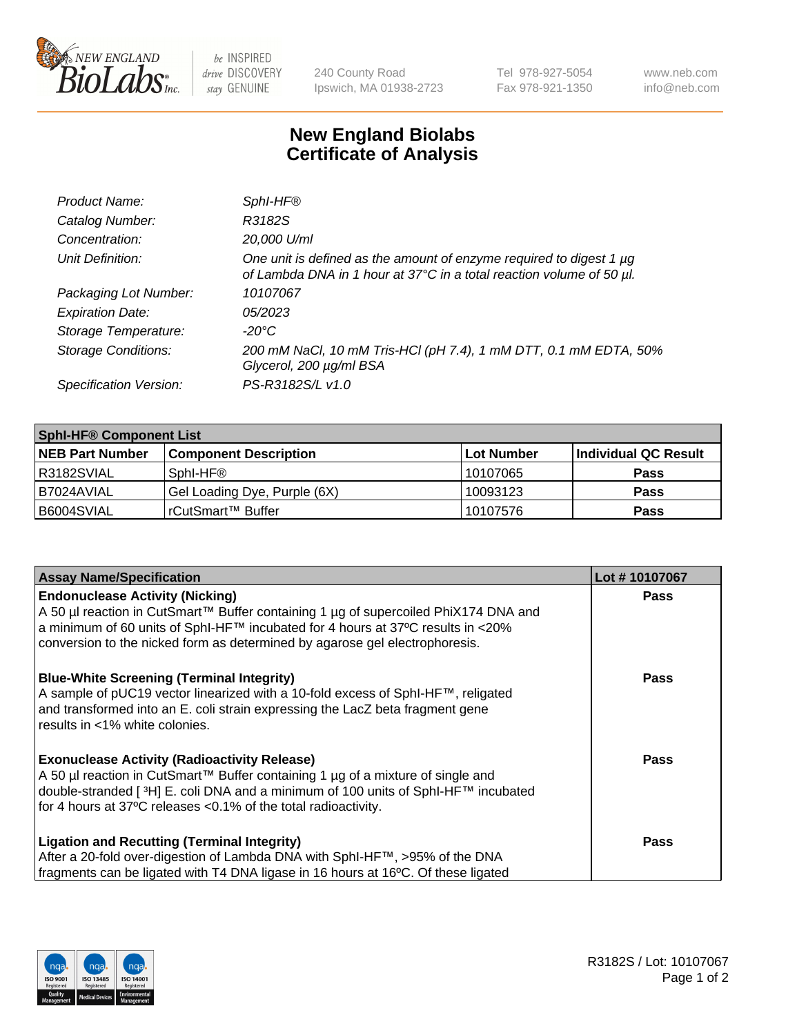

 $be$  INSPIRED drive DISCOVERY stay GENUINE

240 County Road Ipswich, MA 01938-2723 Tel 978-927-5054 Fax 978-921-1350 www.neb.com info@neb.com

## **New England Biolabs Certificate of Analysis**

| Product Name:              | SphI-HF®                                                                                                                                    |
|----------------------------|---------------------------------------------------------------------------------------------------------------------------------------------|
| Catalog Number:            | R3182S                                                                                                                                      |
| Concentration:             | 20,000 U/ml                                                                                                                                 |
| Unit Definition:           | One unit is defined as the amount of enzyme required to digest 1 µg<br>of Lambda DNA in 1 hour at 37°C in a total reaction volume of 50 µl. |
| Packaging Lot Number:      | 10107067                                                                                                                                    |
| <b>Expiration Date:</b>    | 05/2023                                                                                                                                     |
| Storage Temperature:       | $-20^{\circ}$ C                                                                                                                             |
| <b>Storage Conditions:</b> | 200 mM NaCl, 10 mM Tris-HCl (pH 7.4), 1 mM DTT, 0.1 mM EDTA, 50%<br>Glycerol, 200 µg/ml BSA                                                 |
| Specification Version:     | PS-R3182S/L v1.0                                                                                                                            |

| <b>Sphl-HF® Component List</b> |                              |            |                      |  |  |
|--------------------------------|------------------------------|------------|----------------------|--|--|
| <b>NEB Part Number</b>         | <b>Component Description</b> | Lot Number | Individual QC Result |  |  |
| R3182SVIAL                     | Sphl-HF®                     | 10107065   | <b>Pass</b>          |  |  |
| B7024AVIAL                     | Gel Loading Dye, Purple (6X) | 10093123   | <b>Pass</b>          |  |  |
| B6004SVIAL                     | rCutSmart™ Buffer            | 10107576   | <b>Pass</b>          |  |  |

| <b>Assay Name/Specification</b>                                                                                                                                          | Lot #10107067 |
|--------------------------------------------------------------------------------------------------------------------------------------------------------------------------|---------------|
| <b>Endonuclease Activity (Nicking)</b>                                                                                                                                   | <b>Pass</b>   |
| A 50 µl reaction in CutSmart™ Buffer containing 1 µg of supercoiled PhiX174 DNA and<br>  a minimum of 60 units of SphI-HF™ incubated for 4 hours at 37°C results in <20% |               |
| conversion to the nicked form as determined by agarose gel electrophoresis.                                                                                              |               |
| <b>Blue-White Screening (Terminal Integrity)</b>                                                                                                                         | <b>Pass</b>   |
| A sample of pUC19 vector linearized with a 10-fold excess of SphI-HF™, religated<br>and transformed into an E. coli strain expressing the LacZ beta fragment gene        |               |
| results in <1% white colonies.                                                                                                                                           |               |
| <b>Exonuclease Activity (Radioactivity Release)</b>                                                                                                                      | Pass          |
| A 50 µl reaction in CutSmart™ Buffer containing 1 µg of a mixture of single and                                                                                          |               |
| double-stranded [3H] E. coli DNA and a minimum of 100 units of SphI-HF™ incubated<br>for 4 hours at 37°C releases <0.1% of the total radioactivity.                      |               |
|                                                                                                                                                                          |               |
| <b>Ligation and Recutting (Terminal Integrity)</b>                                                                                                                       | <b>Pass</b>   |
| After a 20-fold over-digestion of Lambda DNA with SphI-HF™, >95% of the DNA                                                                                              |               |
| fragments can be ligated with T4 DNA ligase in 16 hours at 16°C. Of these ligated                                                                                        |               |